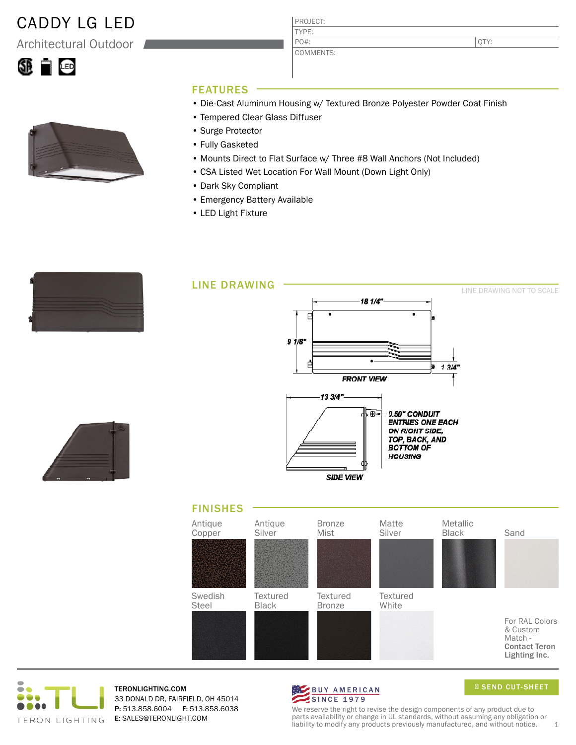## CADDY LG LED

Architectural Outdoor





QTY:

#### FEATURES

- Die-Cast Aluminum Housing w/ Textured Bronze Polyester Powder Coat Finish
- Tempered Clear Glass Diffuser
- Surge Protector
- Fully Gasketed
- Mounts Direct to Flat Surface w/ Three #8 Wall Anchors (Not Included)
- CSA Listed Wet Location For Wall Mount (Down Light Only)
- Dark Sky Compliant
- Emergency Battery Available
- LED Light Fixture

|  | ______            |
|--|-------------------|
|  | ________<br>_____ |
|  |                   |









TERONLIGHTING.COM 33 DONALD DR, FAIRFIELD, OH 45014 P: 513.858.6004 F: 513.858.6038 E: SALES@TERONLIGHT.COM



SEND CUT-SHEET

We reserve the right to revise the design components of any product due to parts availability or change in UL standards, without assuming any obligation or liability to modify any products previously manufactured, and without notice.  $1$